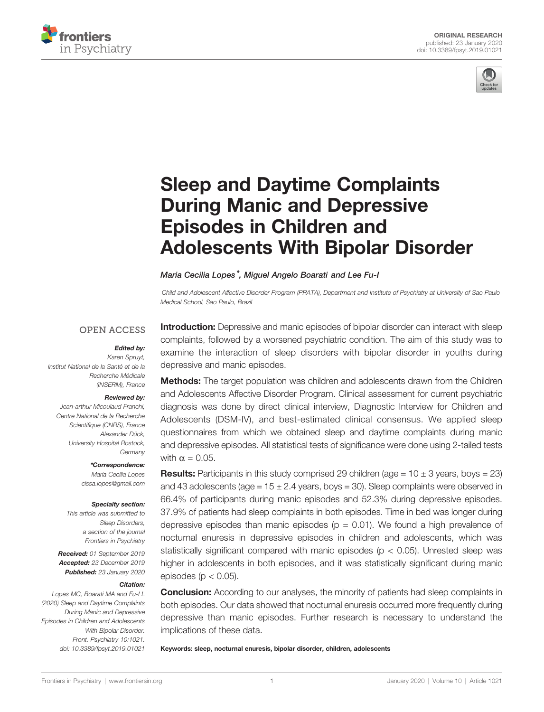



# [Sleep and Daytime Complaints](https://www.frontiersin.org/article/10.3389/fpsyt.2019.01021/full) [During Manic and Depressive](https://www.frontiersin.org/article/10.3389/fpsyt.2019.01021/full) [Episodes in Children and](https://www.frontiersin.org/article/10.3389/fpsyt.2019.01021/full) [Adolescents With Bipolar Disorder](https://www.frontiersin.org/article/10.3389/fpsyt.2019.01021/full)

### [Maria Cecilia](https://loop.frontiersin.org/people/590593) [Lopes](https://loop.frontiersin.org/people/590593)\*, Miguel Angelo Boarati and [Lee](https://loop.frontiersin.org/people/847838) [Fu-I](https://loop.frontiersin.org/people/847838)

Child and Adolescent Affective Disorder Program (PRATA), Department and Institute of Psychiatry at University of Sao Paulo Medical School, Sao Paulo, Brazil

## **OPEN ACCESS**

# Edited by:

Karen Spruyt, Institut National de la Santé et de la Recherche Médicale (INSERM), France

#### Reviewed by:

Jean-arthur Micoulaud Franchi, Centre National de la Recherche Scientifique (CNRS), France Alexander Dück, University Hospital Rostock, Germany

#### \*Correspondence:

Maria Cecilia Lopes [cissa.lopes@gmail.com](mailto:cissa.lopes@gmail.com)

#### Specialty section:

This article was submitted to Sleep Disorders, a section of the journal Frontiers in Psychiatry

Received: 01 September 2019 Accepted: 23 December 2019 Published: 23 January 2020

## Citation:

Lopes MC, Boarati MA and Fu-I L (2020) Sleep and Daytime Complaints During Manic and Depressive Episodes in Children and Adolescents With Bipolar Disorder. Front. Psychiatry 10:1021. [doi: 10.3389/fpsyt.2019.01021](https://doi.org/10.3389/fpsyt.2019.01021)

**Introduction:** Depressive and manic episodes of bipolar disorder can interact with sleep complaints, followed by a worsened psychiatric condition. The aim of this study was to examine the interaction of sleep disorders with bipolar disorder in youths during depressive and manic episodes.

**Methods:** The target population was children and adolescents drawn from the Children and Adolescents Affective Disorder Program. Clinical assessment for current psychiatric diagnosis was done by direct clinical interview, Diagnostic Interview for Children and Adolescents (DSM-IV), and best-estimated clinical consensus. We applied sleep questionnaires from which we obtained sleep and daytime complaints during manic and depressive episodes. All statistical tests of significance were done using 2-tailed tests with  $\alpha = 0.05$ .

**Results:** Participants in this study comprised 29 children (age  $= 10 \pm 3$  years, boys  $= 23$ ) and 43 adolescents (age =  $15 \pm 2.4$  years, boys = 30). Sleep complaints were observed in 66.4% of participants during manic episodes and 52.3% during depressive episodes. 37.9% of patients had sleep complaints in both episodes. Time in bed was longer during depressive episodes than manic episodes ( $p = 0.01$ ). We found a high prevalence of nocturnal enuresis in depressive episodes in children and adolescents, which was statistically significant compared with manic episodes ( $p < 0.05$ ). Unrested sleep was higher in adolescents in both episodes, and it was statistically significant during manic episodes ( $p < 0.05$ ).

**Conclusion:** According to our analyses, the minority of patients had sleep complaints in both episodes. Our data showed that nocturnal enuresis occurred more frequently during depressive than manic episodes. Further research is necessary to understand the implications of these data.

Keywords: sleep, nocturnal enuresis, bipolar disorder, children, adolescents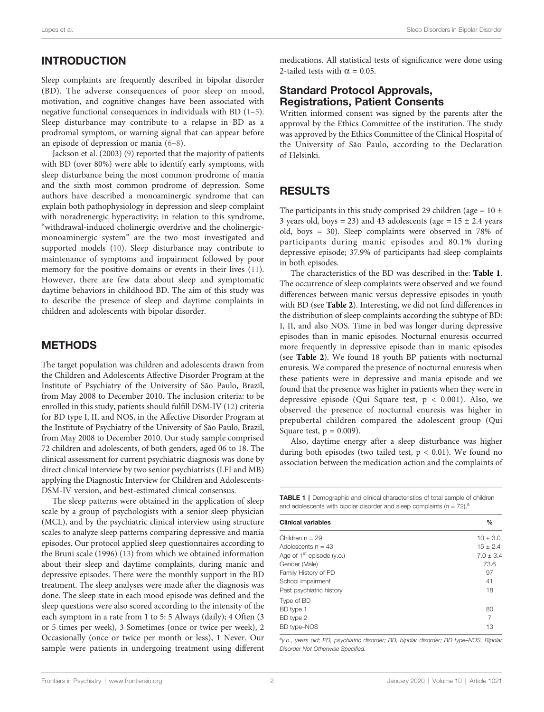# INTRODUCTION

Sleep complaints are frequently described in bipolar disorder (BD). The adverse consequences of poor sleep on mood, motivation, and cognitive changes have been associated with negative functional consequences in individuals with BD ([1](#page-3-0)–[5\)](#page-3-0). Sleep disturbance may contribute to a relapse in BD as a prodromal symptom, or warning signal that can appear before an episode of depression or mania [\(6](#page-3-0)–[8](#page-3-0)).

Jackson et al. (2003) [\(9\)](#page-3-0) reported that the majority of patients with BD (over 80%) were able to identify early symptoms, with sleep disturbance being the most common prodrome of mania and the sixth most common prodrome of depression. Some authors have described a monoaminergic syndrome that can explain both pathophysiology in depression and sleep complaint with noradrenergic hyperactivity; in relation to this syndrome, "withdrawal-induced cholinergic overdrive and the cholinergicmonoaminergic system" are the two most investigated and supported models ([10\)](#page-3-0). Sleep disturbance may contribute to maintenance of symptoms and impairment followed by poor memory for the positive domains or events in their lives ([11\)](#page-3-0). However, there are few data about sleep and symptomatic daytime behaviors in childhood BD. The aim of this study was to describe the presence of sleep and daytime complaints in children and adolescents with bipolar disorder.

## **METHODS**

The target population was children and adolescents drawn from the Children and Adolescents Affective Disorder Program at the Institute of Psychiatry of the University of São Paulo, Brazil, from May 2008 to December 2010. The inclusion criteria: to be enrolled in this study, patients should fulfill DSM-IV ([12](#page-3-0)) criteria for BD type I, II, and NOS, in the Affective Disorder Program at the Institute of Psychiatry of the University of São Paulo, Brazil, from May 2008 to December 2010. Our study sample comprised 72 children and adolescents, of both genders, aged 06 to 18. The clinical assessment for current psychiatric diagnosis was done by direct clinical interview by two senior psychiatrists (LFI and MB) applying the Diagnostic Interview for Children and Adolescents-DSM-IV version, and best-estimated clinical consensus.

The sleep patterns were obtained in the application of sleep scale by a group of psychologists with a senior sleep physician (MCL), and by the psychiatric clinical interview using structure scales to analyze sleep patterns comparing depressive and mania episodes. Our protocol applied sleep questionnaires according to the Bruni scale (1996) [\(13](#page-3-0)) from which we obtained information about their sleep and daytime complaints, during manic and depressive episodes. There were the monthly support in the BD treatment. The sleep analyses were made after the diagnosis was done. The sleep state in each mood episode was defined and the sleep questions were also scored according to the intensity of the each symptom in a rate from 1 to 5: 5 Always (daily); 4 Often (3 or 5 times per week), 3 Sometimes (once or twice per week), 2 Occasionally (once or twice per month or less), 1 Never. Our sample were patients in undergoing treatment using different medications. All statistical tests of significance were done using 2-tailed tests with  $\alpha = 0.05$ .

## Standard Protocol Approvals, Registrations, Patient Consents

Written informed consent was signed by the parents after the approval by the Ethics Committee of the institution. The study was approved by the Ethics Committee of the Clinical Hospital of the University of São Paulo, according to the Declaration of Helsinki.

# RESULTS

The participants in this study comprised 29 children (age =  $10 \pm$ 3 years old, boys = 23) and 43 adolescents (age =  $15 \pm 2.4$  years old, boys = 30). Sleep complaints were observed in 78% of participants during manic episodes and 80.1% during depressive episode; 37.9% of participants had sleep complaints in both episodes.

The characteristics of the BD was described in the: Table 1. The occurrence of sleep complaints were observed and we found differences between manic versus depressive episodes in youth with BD (see [Table 2](#page-2-0)). Interesting, we did not find differences in the distribution of sleep complaints according the subtype of BD: I, II, and also NOS. Time in bed was longer during depressive episodes than in manic episodes. Nocturnal enuresis occurred more frequently in depressive episode than in manic episodes (see [Table 2](#page-2-0)). We found 18 youth BP patients with nocturnal enuresis. We compared the presence of nocturnal enuresis when these patients were in depressive and mania episode and we found that the presence was higher in patients when they were in depressive episode (Qui Square test,  $p < 0.001$ ). Also, we observed the presence of nocturnal enuresis was higher in prepubertal children compared the adolescent group (Qui Square test,  $p = 0.009$ ).

Also, daytime energy after a sleep disturbance was higher during both episodes (two tailed test,  $p < 0.01$ ). We found no association between the medication action and the complaints of

TABLE 1 | Demographic and clinical characteristics of total sample of children and adolescents with bipolar disorder and sleep complaints ( $n = 72$ ).<sup>a</sup>

| <b>Clinical variables</b>   | $\frac{0}{0}$ |
|-----------------------------|---------------|
| Children $n = 29$           | $10 + 3.0$    |
| Adolescents $n = 43$        | $15 + 2.4$    |
| Age of $1st$ episode (y.o.) | $7.0 \pm 3.4$ |
| Gender (Male)               | 73.6          |
| Family History of PD        | 97            |
| School impairment           | 41            |
| Past psychiatric history    | 18            |
| Type of BD                  |               |
| BD type 1                   | 80            |
| BD type 2                   | 7             |
| <b>BD type-NOS</b>          | 13            |

<sup>a</sup>y.o., years old; PD, psychiatric disorder; BD, bipolar disorder; BD type–NOS, Bipolar Disorder Not Otherwise Specified.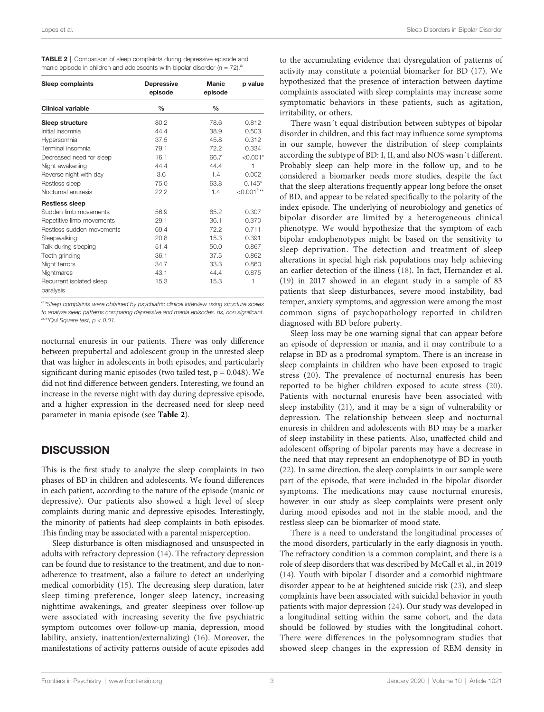<span id="page-2-0"></span>

| <b>TABLE 2</b>   Comparison of sleep complaints during depressive episode and |
|-------------------------------------------------------------------------------|
| manic episode in children and adolescents with bipolar disorder ( $n = 72$ ). |

| Sleep complaints                      | <b>Depressive</b><br>episode | Manic<br>episode | p value              |
|---------------------------------------|------------------------------|------------------|----------------------|
| <b>Clinical variable</b>              | $\frac{0}{0}$                | $\frac{0}{0}$    |                      |
| Sleep structure                       | 80.2                         | 78.6             | 0.812                |
| Initial insomnia                      | 44.4                         | 38.9             | 0.503                |
| Hypersomnia                           | 37.5                         | 45.8             | 0.312                |
| Terminal insomnia                     | 79.1                         | 72.2             | 0.334                |
| Decreased need for sleep              | 16.1                         | 66.7             | $< 0.001*$           |
| Night awakening                       | 44.4                         | 44.4             | 1                    |
| Reverse night with day                | 3.6                          | 1.4              | 0.002                |
| Restless sleep                        | 75.0                         | 63.8             | $0.145*$             |
| Nocturnal enuresis                    | 22.2                         | 1.4              | $<0.001^{\rm b.***}$ |
| <b>Restless sleep</b>                 |                              |                  |                      |
| Sudden limb movements                 | 56.9                         | 65.2             | 0.307                |
| Repetitive limb movements             | 29.1                         | 36.1             | 0.370                |
| Restless sudden movements             | 69.4                         | 72.2             | 0.711                |
| Sleepwalking                          | 20.8                         | 15.3             | 0.391                |
| Talk during sleeping                  | 51.4                         | 50.0             | 0.867                |
| Teeth grinding                        | 36.1                         | 37.5             | 0.862                |
| Night terrors                         | 34.7                         | 33.3             | 0.860                |
| Nightmares                            | 43.1                         | 44.4             | 0.875                |
| Recurrent isolated sleep<br>paralysis | 15.3                         | 15.3             | 1                    |

a,\*Sleep complaints were obtained by psychiatric clinical interview using structure scales to analyze sleep patterns comparing depressive and mania episodes. ns, non significant.  $b$ ,\*\*Qui Square test,  $p < 0.01$ .

nocturnal enuresis in our patients. There was only difference between prepubertal and adolescent group in the unrested sleep that was higher in adolescents in both episodes, and particularly significant during manic episodes (two tailed test,  $p = 0.048$ ). We did not find difference between genders. Interesting, we found an increase in the reverse night with day during depressive episode, and a higher expression in the decreased need for sleep need parameter in mania episode (see Table 2).

## **DISCUSSION**

This is the first study to analyze the sleep complaints in two phases of BD in children and adolescents. We found differences in each patient, according to the nature of the episode (manic or depressive). Our patients also showed a high level of sleep complaints during manic and depressive episodes. Interestingly, the minority of patients had sleep complaints in both episodes. This finding may be associated with a parental misperception.

Sleep disturbance is often misdiagnosed and unsuspected in adults with refractory depression [\(14](#page-3-0)). The refractory depression can be found due to resistance to the treatment, and due to nonadherence to treatment, also a failure to detect an underlying medical comorbidity ([15\)](#page-3-0). The decreasing sleep duration, later sleep timing preference, longer sleep latency, increasing nighttime awakenings, and greater sleepiness over follow-up were associated with increasing severity the five psychiatric symptom outcomes over follow-up mania, depression, mood lability, anxiety, inattention/externalizing) [\(16\)](#page-3-0). Moreover, the manifestations of activity patterns outside of acute episodes add to the accumulating evidence that dysregulation of patterns of activity may constitute a potential biomarker for BD ([17\)](#page-3-0). We hypothesized that the presence of interaction between daytime complaints associated with sleep complaints may increase some symptomatic behaviors in these patients, such as agitation, irritability, or others.

There wasn´t equal distribution between subtypes of bipolar disorder in children, and this fact may influence some symptoms in our sample, however the distribution of sleep complaints according the subtype of BD: I, II, and also NOS wasn´t different. Probably sleep can help more in the follow up, and to be considered a biomarker needs more studies, despite the fact that the sleep alterations frequently appear long before the onset of BD, and appear to be related specifically to the polarity of the index episode. The underlying of neurobiology and genetics of bipolar disorder are limited by a heterogeneous clinical phenotype. We would hypothesize that the symptom of each bipolar endophenotypes might be based on the sensitivity to sleep deprivation. The detection and treatment of sleep alterations in special high risk populations may help achieving an earlier detection of the illness ([18\)](#page-3-0). In fact, Hernandez et al. [\(19\)](#page-3-0) in 2017 showed in an elegant study in a sample of 83 patients that sleep disturbances, severe mood instability, bad temper, anxiety symptoms, and aggression were among the most common signs of psychopathology reported in children diagnosed with BD before puberty.

Sleep loss may be one warning signal that can appear before an episode of depression or mania, and it may contribute to a relapse in BD as a prodromal symptom. There is an increase in sleep complaints in children who have been exposed to tragic stress ([20](#page-3-0)). The prevalence of nocturnal enuresis has been reported to be higher children exposed to acute stress [\(20\)](#page-3-0). Patients with nocturnal enuresis have been associated with sleep instability [\(21](#page-3-0)), and it may be a sign of vulnerability or depression. The relationship between sleep and nocturnal enuresis in children and adolescents with BD may be a marker of sleep instability in these patients. Also, unaffected child and adolescent offspring of bipolar parents may have a decrease in the need that may represent an endophenotype of BD in youth [\(22\)](#page-3-0). In same direction, the sleep complaints in our sample were part of the episode, that were included in the bipolar disorder symptoms. The medications may cause nocturnal enuresis, however in our study as sleep complaints were present only during mood episodes and not in the stable mood, and the restless sleep can be biomarker of mood state.

There is a need to understand the longitudinal processes of the mood disorders, particularly in the early diagnosis in youth. The refractory condition is a common complaint, and there is a role of sleep disorders that was described by McCall et al., in 2019 [\(14\)](#page-3-0). Youth with bipolar I disorder and a comorbid nightmare disorder appear to be at heightened suicide risk [\(23](#page-3-0)), and sleep complaints have been associated with suicidal behavior in youth patients with major depression [\(24](#page-4-0)). Our study was developed in a longitudinal setting within the same cohort, and the data should be followed by studies with the longitudinal cohort. There were differences in the polysomnogram studies that showed sleep changes in the expression of REM density in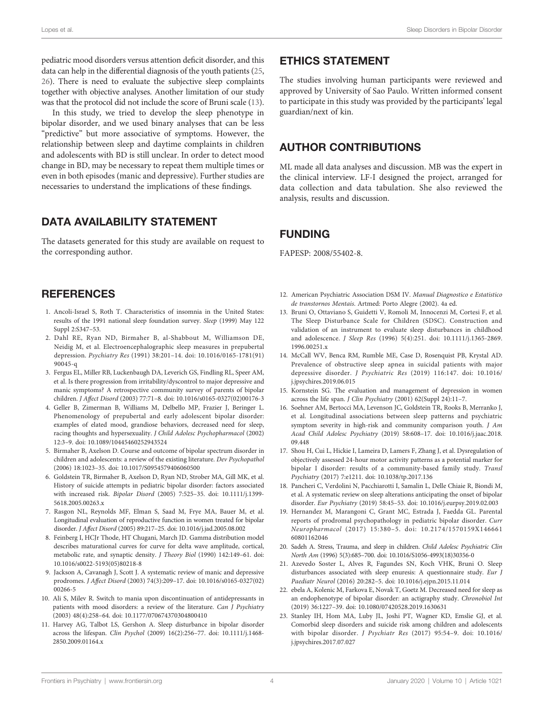<span id="page-3-0"></span>pediatric mood disorders versus attention deficit disorder, and this data can help in the differential diagnosis of the youth patients [\(25](#page-4-0), [26](#page-4-0)). There is need to evaluate the subjective sleep complaints together with objective analyses. Another limitation of our study was that the protocol did not include the score of Bruni scale (13).

In this study, we tried to develop the sleep phenotype in bipolar disorder, and we used binary analyses that can be less "predictive" but more associative of symptoms. However, the relationship between sleep and daytime complaints in children and adolescents with BD is still unclear. In order to detect mood change in BD, may be necessary to repeat them multiple times or even in both episodes (manic and depressive). Further studies are necessaries to understand the implications of these findings.

# DATA AVAILABILITY STATEMENT

The datasets generated for this study are available on request to the corresponding author.

# **REFERENCES**

- 1. Ancoli-Israel S, Roth T. Characteristics of insomnia in the United States: results of the 1991 national sleep foundation survey. Sleep (1999) May 122 Suppl 2:S347–53.
- 2. Dahl RE, Ryan ND, Birmaher B, al-Shabbout M, Williamson DE, Neidig M, et al. Electroencephalographic sleep measures in prepubertal depression. Psychiatry Res (1991) 38:201–14. doi: [10.1016/0165-1781\(91\)](https://doi.org/10.1016/0165-1781(91)90045-q) [90045-q](https://doi.org/10.1016/0165-1781(91)90045-q)
- 3. Fergus EL, Miller RB, Luckenbaugh DA, Leverich GS, Findling RL, Speer AM, et al. Is there progression from irritability/dyscontrol to major depressive and manic symptoms? A retrospective community survey of parents of bipolar children. J Affect Disord (2003) 77:71–8. doi: [10.1016/s0165-0327\(02\)00176-3](https://doi.org/10.1016/s0165-0327(02)00176-3)
- 4. Geller B, Zimerman B, Williams M, Delbello MP, Frazier J, Beringer L. Phenomenology of prepubertal and early adolescent bipolar disorder: examples of elated mood, grandiose behaviors, decreased need for sleep, racing thoughts and hypersexuality. J Child Adolesc Psychopharmacol (2002) 12:3–9. doi: [10.1089/10445460252943524](https://doi.org/10.1089/10445460252943524)
- 5. Birmaher B, Axelson D. Course and outcome of bipolar spectrum disorder in children and adolescents: a review of the existing literature. Dev Psychopathol (2006) 18:1023–35. doi: [10.1017/S0954579406060500](https://doi.org/10.1017/S0954579406060500)
- 6. Goldstein TR, Birmaher B, Axelson D, Ryan ND, Strober MA, Gill MK, et al. History of suicide attempts in pediatric bipolar disorder: factors associated with increased risk. Bipolar Disord (2005) 7:525–35. doi: [10.1111/j.1399-](https://doi.org/10.1111/j.1399-5618.2005.00263.x) [5618.2005.00263.x](https://doi.org/10.1111/j.1399-5618.2005.00263.x)
- 7. Rasgon NL, Reynolds MF, Elman S, Saad M, Frye MA, Bauer M, et al. Longitudinal evaluation of reproductive function in women treated for bipolar disorder. J Affect Disord (2005) 89:217–25. doi: [10.1016/j.jad.2005.08.002](https://doi.org/10.1016/j.jad.2005.08.002)
- 8. Feinberg I, HCJr Thode, HT Chugani, March JD. Gamma distribution model describes maturational curves for curve for delta wave amplitude, cortical, metabolic rate, and synaptic density. J Theory Biol (1990) 142:149–61. doi: [10.1016/s0022-5193\(05\)80218-8](https://doi.org/10.1016/s0022-5193(05)80218-8)
- 9. Jackson A, Cavanagh J, Scott J. A systematic review of manic and depressive prodromes. J Affect Disord (2003) 74(3):209–17. doi: [10.1016/s0165-0327\(02\)](https://doi.org/10.1016/s0165-0327(02)00266-5) [00266-5](https://doi.org/10.1016/s0165-0327(02)00266-5)
- 10. Ali S, Milev R. Switch to mania upon discontinuation of antidepressants in patients with mood disorders: a review of the literature. Can J Psychiatry (2003) 48(4):258–64. doi: [10.1177/070674370304800410](https://doi.org/10.1177/070674370304800410)
- 11. Harvey AG, Talbot LS, Gershon A. Sleep disturbance in bipolar disorder across the lifespan. Clin Psychol (2009) 16(2):256–77. doi: [10.1111/j.1468-](https://doi.org/10.1111/j.1468-2850.2009.01164.x) [2850.2009.01164.x](https://doi.org/10.1111/j.1468-2850.2009.01164.x)

# ETHICS STATEMENT

The studies involving human participants were reviewed and approved by University of Sao Paulo. Written informed consent to participate in this study was provided by the participants' legal guardian/next of kin.

# AUTHOR CONTRIBUTIONS

ML made all data analyses and discussion. MB was the expert in the clinical interview. LF-I designed the project, arranged for data collection and data tabulation. She also reviewed the analysis, results and discussion.

# FUNDING

FAPESP: 2008/55402-8.

- 12. American Psychiatric Association DSM IV. Manual Diagnostico e Estatistico de transtornos Mentais. Artmed: Porto Alegre (2002). 4a ed.
- 13. Bruni O, Ottaviano S, Guidetti V, Romoli M, Innocenzi M, Cortesi F, et al. The Sleep Disturbance Scale for Children (SDSC). Construction and validation of an instrument to evaluate sleep disturbances in childhood and adolescence. J Sleep Res (1996) 5(4):251. doi: [10.1111/j.1365-2869.](https://doi.org/10.1111/j.1365-2869.1996.00251.x) [1996.00251.x](https://doi.org/10.1111/j.1365-2869.1996.00251.x)
- 14. McCall WV, Benca RM, Rumble ME, Case D, Rosenquist PB, Krystal AD. Prevalence of obstructive sleep apnea in suicidal patients with major depressive disorder. J Psychiatric Res (2019) 116:147. doi: [10.1016/](https://doi.org/10.1016/j.jpsychires.2019.06.015) [j.jpsychires.2019.06.015](https://doi.org/10.1016/j.jpsychires.2019.06.015)
- 15. Kornstein SG. The evaluation and management of depression in women across the life span. J Clin Psychiatry (2001) 62(Suppl 24):11–7.
- 16. Soehner AM, Bertocci MA, Levenson JC, Goldstein TR, Rooks B, Merranko J, et al. Longitudinal associations between sleep patterns and psychiatric symptom severity in high-risk and community comparison youth. *J Am* Acad Child Adolesc Psychiatry (2019) 58:608–17. doi: [10.1016/j.jaac.2018.](https://doi.org/10.1016/j.jaac.2018.09.448) [09.448](https://doi.org/10.1016/j.jaac.2018.09.448)
- 17. Shou H, Cui L, Hickie I, Lameira D, Lamers F, Zhang J, et al. Dysregulation of objectively assessed 24-hour motor activity patterns as a potential marker for bipolar I disorder: results of a community-based family study. Transl Psychiatry (2017) 7:e1211. doi: [10.1038/tp.2017.136](https://doi.org/10.1038/tp.2017.136)
- 18. Pancheri C, Verdolini N, Pacchiarotti I, Samalin L, Delle Chiaie R, Biondi M, et al. A systematic review on sleep alterations anticipating the onset of bipolar disorder. Eur Psychiatry (2019) 58:45–53. doi: [10.1016/j.eurpsy.2019.02.003](https://doi.org/10.1016/j.eurpsy.2019.02.003)
- 19. Hernandez M, Marangoni C, Grant MC, Estrada J, Faedda GL. Parental reports of prodromal psychopathology in pediatric bipolar disorder. Curr Neuropharmacol (2017) 15:380–5. doi: [10.2174/1570159X146661](https://doi.org/10.2174/1570159X14666160801162046) [60801162046](https://doi.org/10.2174/1570159X14666160801162046)
- 20. Sadeh A. Stress, Trauma, and sleep in children. Child Adolesc Psychiatric Clin North Am (1996) 5(3):685–700. doi: [10.1016/S1056-4993\(18\)30356-0](https://doi.org/10.1016/S1056-4993(18)30356-0)
- 21. Azevedo Soster L, Alves R, Fagundes SN, Koch VHK, Bruni O. Sleep disturbances associated with sleep enuresis: A questionnaire study. Eur J Paediatr Neurol (2016) 20:282–5. doi: [10.1016/j.ejpn.2015.11.014](https://doi.org/10.1016/j.ejpn.2015.11.014)
- 22. ebela A, Kolenic M, Farkova E, Novak T, Goetz M. Decreased need for sleep as an endophenotype of bipolar disorder: an actigraphy study. Chronobiol Int (2019) 36:1227–39. doi: [10.1080/07420528.2019.1630631](https://doi.org/10.1080/07420528.2019.1630631)
- 23. Stanley IH, Hom MA, Luby JL, Joshi PT, Wagner KD, Emslie GJ, et al. Comorbid sleep disorders and suicide risk among children and adolescents with bipolar disorder. J Psychiatr Res (2017) 95:54–9. doi: [10.1016/](https://doi.org/10.1016/j.jpsychires.2017.07.027) [j.jpsychires.2017.07.027](https://doi.org/10.1016/j.jpsychires.2017.07.027)